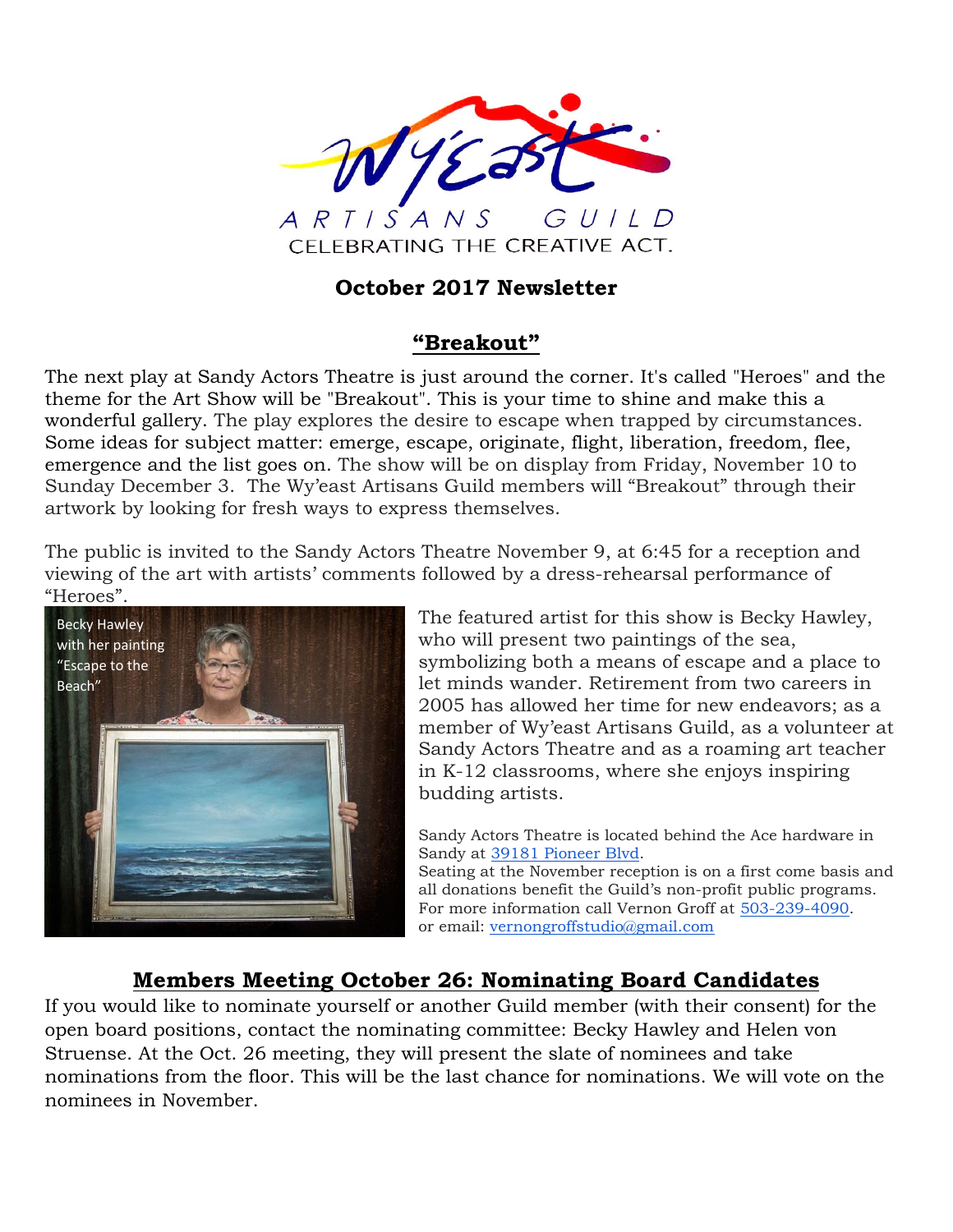

## **October 2017 Newsletter**

### **"Breakout"**

The next play at Sandy Actors Theatre is just around the corner. It's called "Heroes" and the theme for the Art Show will be "Breakout". This is your time to shine and make this a wonderful gallery. The play explores the desire to escape when trapped by circumstances. Some ideas for subject matter: emerge, escape, originate, flight, liberation, freedom, flee, emergence and the list goes on. The show will be on display from Friday, November 10 to Sunday December 3. The Wy'east Artisans Guild members will "Breakout" through their artwork by looking for fresh ways to express themselves.

The public is invited to the Sandy Actors Theatre November 9, at 6:45 for a reception and viewing of the art with artists' comments followed by a dress-rehearsal performance of "Heroes".



The featured artist for this show is Becky Hawley, who will present two paintings of the sea, symbolizing both a means of escape and a place to let minds wander. Retirement from two careers in 2005 has allowed her time for new endeavors; as a member of Wy'east Artisans Guild, as a volunteer at Sandy Actors Theatre and as a roaming art teacher in K-12 classrooms, where she enjoys inspiring budding artists.

Sandy Actors Theatre is located behind the Ace hardware in Sandy at [39181 Pioneer Blvd.](https://maps.google.com/?q=39181+Pioneer+Blvd&entry=gmail&source=g)

Seating at the November reception is on a first come basis and all donations benefit the Guild's non-profit public programs. For more information call Vernon Groff at [503-239-4090.](tel:(503)%20239-4090) or email: [vernongroffstudio@gmail.com](mailto:vernongroffstudio@gmail.com)

# **Members Meeting October 26: Nominating Board Candidates**

If you would like to nominate yourself or another Guild member (with their consent) for the open board positions, contact the nominating committee: Becky Hawley and Helen von Struense. At the Oct. 26 meeting, they will present the slate of nominees and take nominations from the floor. This will be the last chance for nominations. We will vote on the nominees in November.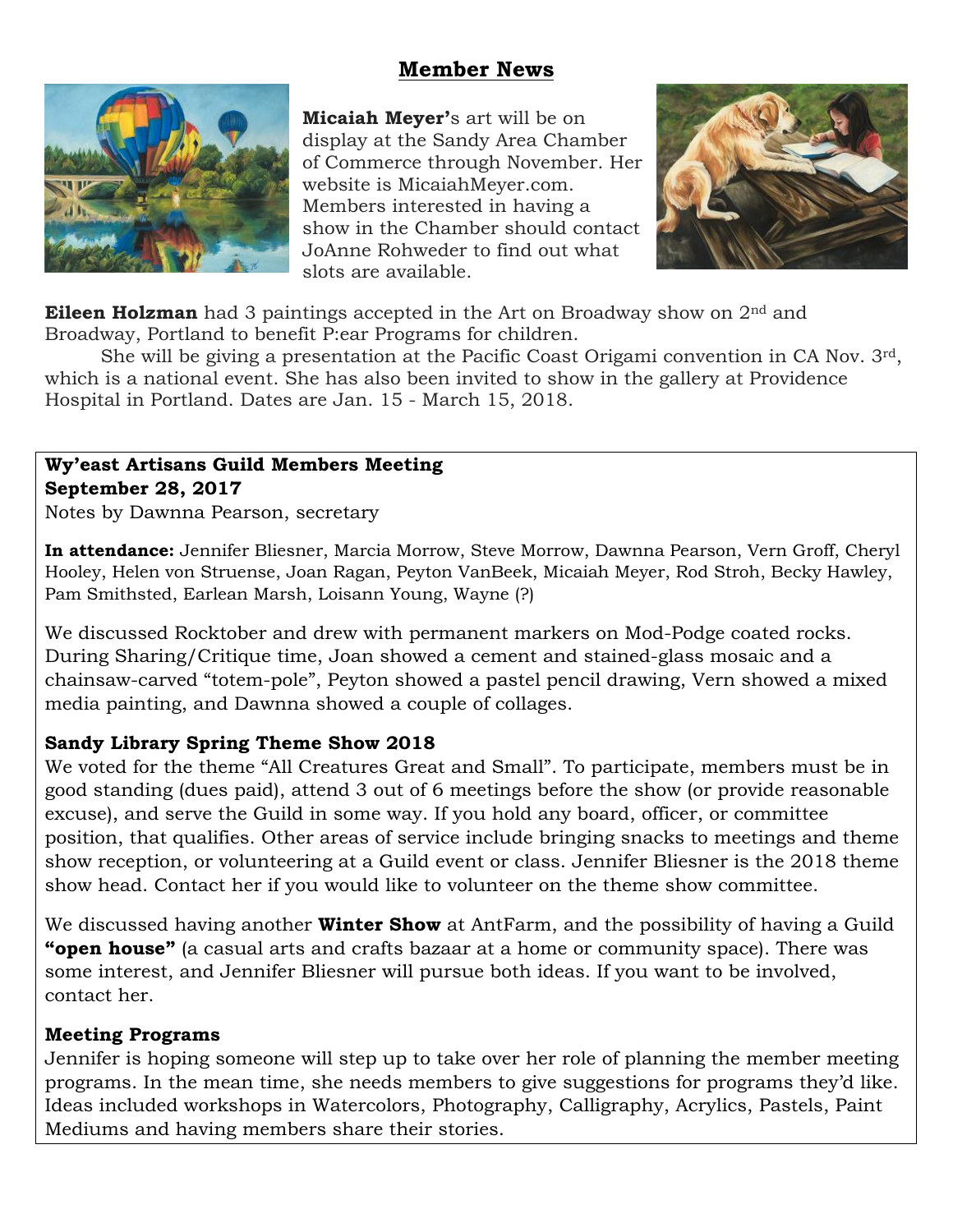### **Member News**



**Micaiah Meyer'**s art will be on display at the Sandy Area Chamber of Commerce through November. Her website is MicaiahMeyer.com. Members interested in having a show in the Chamber should contact JoAnne Rohweder to find out what slots are available.



**Eileen Holzman** had 3 paintings accepted in the Art on Broadway show on 2<sup>nd</sup> and Broadway, Portland to benefit P:ear Programs for children.

She will be giving a presentation at the Pacific Coast Origami convention in CA Nov. 3rd, which is a national event. She has also been invited to show in the gallery at Providence Hospital in Portland. Dates are Jan. 15 - March 15, 2018.

#### **Wy'east Artisans Guild Members Meeting September 28, 2017**

Notes by Dawnna Pearson, secretary

**In attendance:** Jennifer Bliesner, Marcia Morrow, Steve Morrow, Dawnna Pearson, Vern Groff, Cheryl Hooley, Helen von Struense, Joan Ragan, Peyton VanBeek, Micaiah Meyer, Rod Stroh, Becky Hawley, Pam Smithsted, Earlean Marsh, Loisann Young, Wayne (?)

We discussed Rocktober and drew with permanent markers on Mod-Podge coated rocks. During Sharing/Critique time, Joan showed a cement and stained-glass mosaic and a chainsaw-carved "totem-pole", Peyton showed a pastel pencil drawing, Vern showed a mixed media painting, and Dawnna showed a couple of collages.

#### **Sandy Library Spring Theme Show 2018**

We voted for the theme "All Creatures Great and Small". To participate, members must be in good standing (dues paid), attend 3 out of 6 meetings before the show (or provide reasonable excuse), and serve the Guild in some way. If you hold any board, officer, or committee position, that qualifies. Other areas of service include bringing snacks to meetings and theme show reception, or volunteering at a Guild event or class. Jennifer Bliesner is the 2018 theme show head. Contact her if you would like to volunteer on the theme show committee.

We discussed having another **Winter Show** at AntFarm, and the possibility of having a Guild **"open house"** (a casual arts and crafts bazaar at a home or community space). There was some interest, and Jennifer Bliesner will pursue both ideas. If you want to be involved, contact her.

#### **Meeting Programs**

Jennifer is hoping someone will step up to take over her role of planning the member meeting programs. In the mean time, she needs members to give suggestions for programs they'd like. Ideas included workshops in Watercolors, Photography, Calligraphy, Acrylics, Pastels, Paint Mediums and having members share their stories.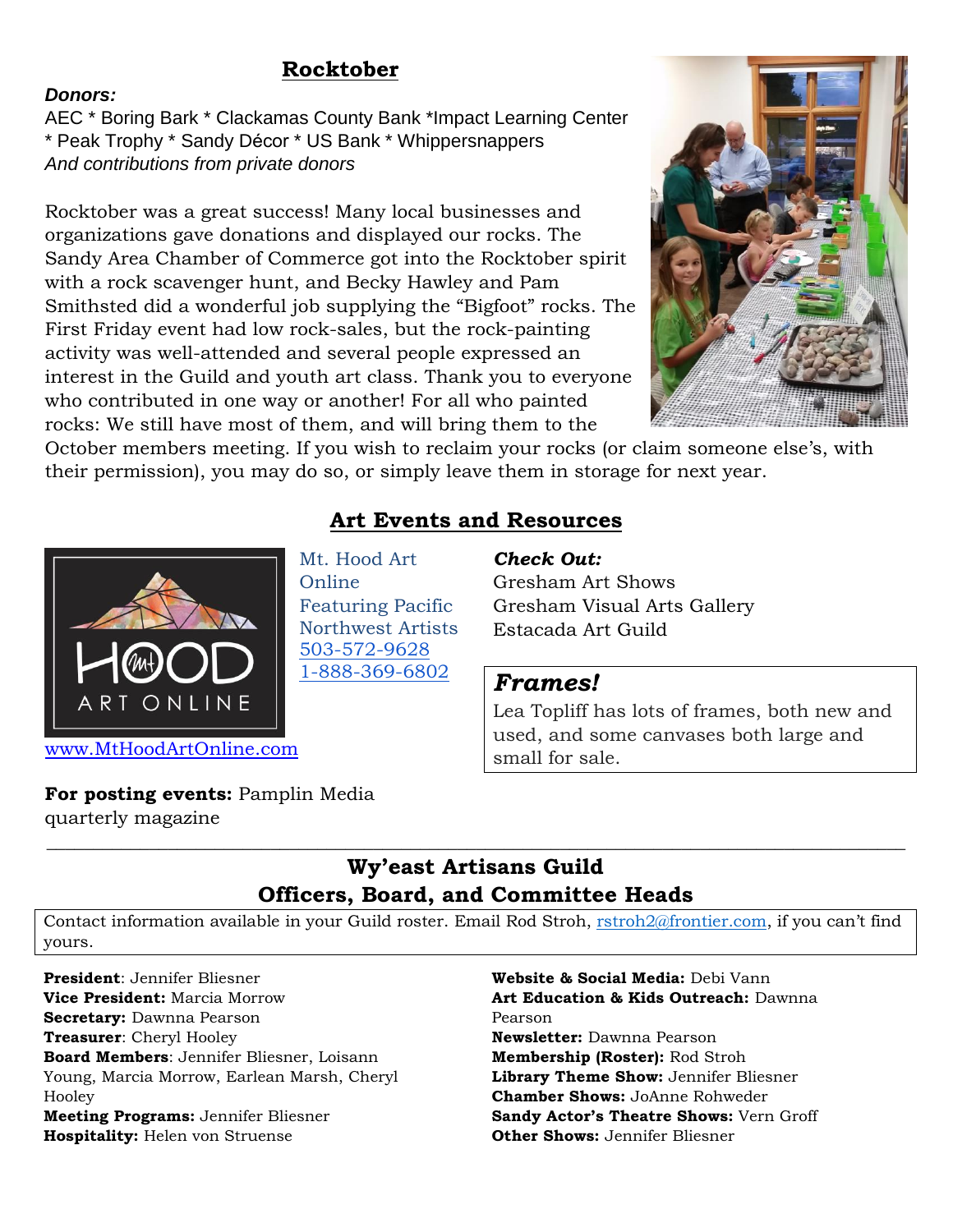### **Rocktober**

#### *Donors:*

AEC \* Boring Bark \* Clackamas County Bank \*Impact Learning Center \* Peak Trophy \* Sandy Décor \* US Bank \* Whippersnappers *And contributions from private donors*

Rocktober was a great success! Many local businesses and organizations gave donations and displayed our rocks. The Sandy Area Chamber of Commerce got into the Rocktober spirit with a rock scavenger hunt, and Becky Hawley and Pam Smithsted did a wonderful job supplying the "Bigfoot" rocks. The First Friday event had low rock-sales, but the rock-painting activity was well-attended and several people expressed an interest in the Guild and youth art class. Thank you to everyone who contributed in one way or another! For all who painted rocks: We still have most of them, and will bring them to the



October members meeting. If you wish to reclaim your rocks (or claim someone else's, with their permission), you may do so, or simply leave them in storage for next year.



**Art Events and Resources**

Mt. Hood Art Online Featuring Pacific Northwest Artists [503-572-9628](tel:(503)%20572-9628) [1-888-369-6802](tel:(888)%20369-6802)

#### *Check Out:*

Gresham Art Shows Gresham Visual Arts Gallery Estacada Art Guild

### *Frames!*

Lea Topliff has lots of frames, both new and used, and some canvases both large and small for sale.

#### **For posting events:** Pamplin Media

quarterly magazine

# **Wy'east Artisans Guild Officers, Board, and Committee Heads**

 $\_$  , and the set of the set of the set of the set of the set of the set of the set of the set of the set of the set of the set of the set of the set of the set of the set of the set of the set of the set of the set of th

Contact information available in your Guild roster. Email Rod Stroh, [rstroh2@frontier.com](mailto:rstroh2@frontier.com), if you can't find yours.

**President**: Jennifer Bliesner **Vice President:** Marcia Morrow **Secretary:** Dawnna Pearson **Treasurer**: Cheryl Hooley **Board Members**: Jennifer Bliesner, Loisann Young, Marcia Morrow, Earlean Marsh, Cheryl Hooley **Meeting Programs:** Jennifer Bliesner **Hospitality:** Helen von Struense

**Website & Social Media:** Debi Vann **Art Education & Kids Outreach:** Dawnna Pearson **Newsletter:** Dawnna Pearson **Membership (Roster):** Rod Stroh **Library Theme Show:** Jennifer Bliesner **Chamber Shows:** JoAnne Rohweder **Sandy Actor's Theatre Shows:** Vern Groff **Other Shows:** Jennifer Bliesner